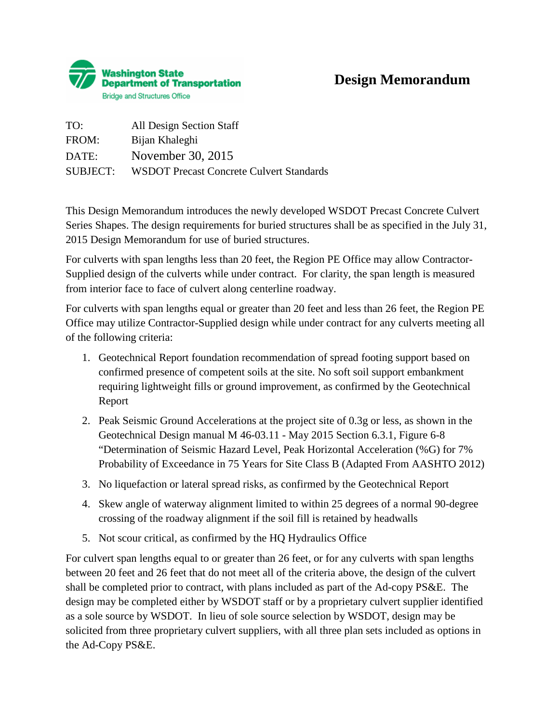

## **Design Memorandum**

| TO:             | All Design Section Staff                        |
|-----------------|-------------------------------------------------|
| FROM:           | Bijan Khaleghi                                  |
| DATE:           | November 30, 2015                               |
| <b>SUBJECT:</b> | <b>WSDOT Precast Concrete Culvert Standards</b> |

This Design Memorandum introduces the newly developed WSDOT Precast Concrete Culvert Series Shapes. The design requirements for buried structures shall be as specified in the July 31, 2015 Design Memorandum for use of buried structures.

For culverts with span lengths less than 20 feet, the Region PE Office may allow Contractor-Supplied design of the culverts while under contract. For clarity, the span length is measured from interior face to face of culvert along centerline roadway.

For culverts with span lengths equal or greater than 20 feet and less than 26 feet, the Region PE Office may utilize Contractor-Supplied design while under contract for any culverts meeting all of the following criteria:

- 1. Geotechnical Report foundation recommendation of spread footing support based on confirmed presence of competent soils at the site. No soft soil support embankment requiring lightweight fills or ground improvement, as confirmed by the Geotechnical Report
- 2. Peak Seismic Ground Accelerations at the project site of 0.3g or less, as shown in the Geotechnical Design manual M 46-03.11 - May 2015 Section 6.3.1, Figure 6-8 "Determination of Seismic Hazard Level, Peak Horizontal Acceleration (%G) for 7% Probability of Exceedance in 75 Years for Site Class B (Adapted From AASHTO 2012)
- 3. No liquefaction or lateral spread risks, as confirmed by the Geotechnical Report
- 4. Skew angle of waterway alignment limited to within 25 degrees of a normal 90-degree crossing of the roadway alignment if the soil fill is retained by headwalls
- 5. Not scour critical, as confirmed by the HQ Hydraulics Office

For culvert span lengths equal to or greater than 26 feet, or for any culverts with span lengths between 20 feet and 26 feet that do not meet all of the criteria above, the design of the culvert shall be completed prior to contract, with plans included as part of the Ad-copy PS&E. The design may be completed either by WSDOT staff or by a proprietary culvert supplier identified as a sole source by WSDOT. In lieu of sole source selection by WSDOT, design may be solicited from three proprietary culvert suppliers, with all three plan sets included as options in the Ad-Copy PS&E.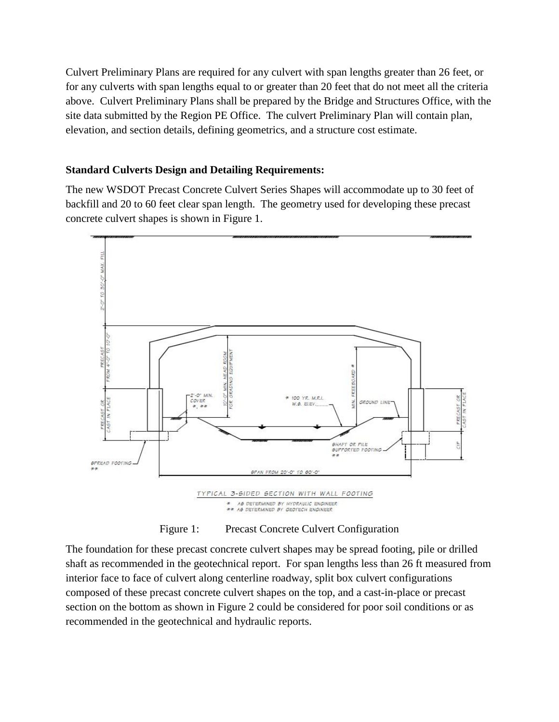Culvert Preliminary Plans are required for any culvert with span lengths greater than 26 feet, or for any culverts with span lengths equal to or greater than 20 feet that do not meet all the criteria above. Culvert Preliminary Plans shall be prepared by the Bridge and Structures Office, with the site data submitted by the Region PE Office. The culvert Preliminary Plan will contain plan, elevation, and section details, defining geometrics, and a structure cost estimate.

#### **Standard Culverts Design and Detailing Requirements:**

The new WSDOT Precast Concrete Culvert Series Shapes will accommodate up to 30 feet of backfill and 20 to 60 feet clear span length. The geometry used for developing these precast concrete culvert shapes is shown in Figure 1.



Figure 1: Precast Concrete Culvert Configuration

The foundation for these precast concrete culvert shapes may be spread footing, pile or drilled shaft as recommended in the geotechnical report. For span lengths less than 26 ft measured from interior face to face of culvert along centerline roadway, split box culvert configurations composed of these precast concrete culvert shapes on the top, and a cast-in-place or precast section on the bottom as shown in Figure 2 could be considered for poor soil conditions or as recommended in the geotechnical and hydraulic reports.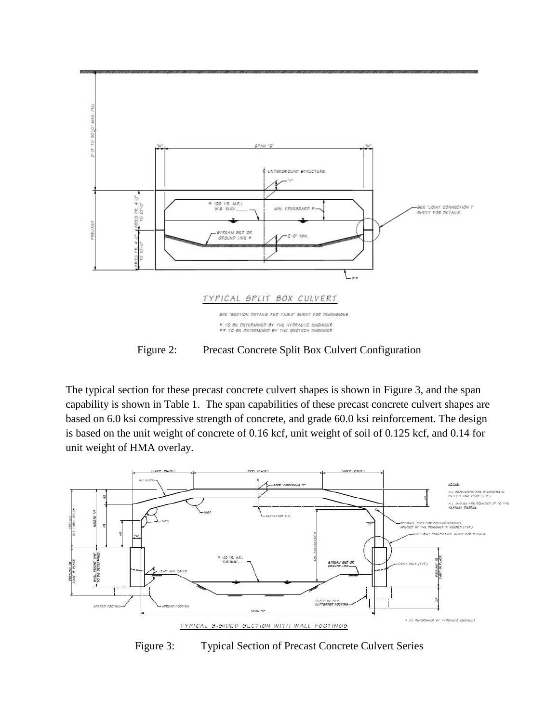

Figure 2: Precast Concrete Split Box Culvert Configuration

The typical section for these precast concrete culvert shapes is shown in Figure 3, and the span capability is shown in Table 1. The span capabilities of these precast concrete culvert shapes are based on 6.0 ksi compressive strength of concrete, and grade 60.0 ksi reinforcement. The design is based on the unit weight of concrete of 0.16 kcf, unit weight of soil of 0.125 kcf, and 0.14 for unit weight of HMA overlay.



Figure 3: Typical Section of Precast Concrete Culvert Series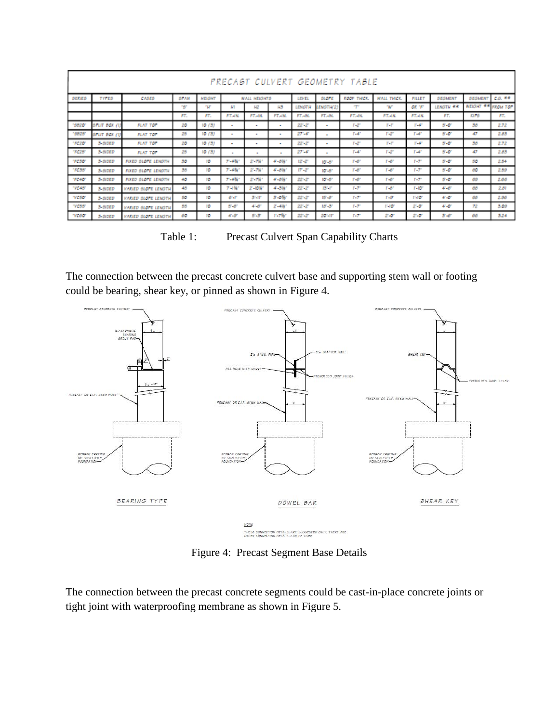| PRECAST CULVERT GEOMETRY TABLE |            |                     |                                                                                                                                        |       |                |                |                        |           |                |              |                    |               |                  |                    |      |
|--------------------------------|------------|---------------------|----------------------------------------------------------------------------------------------------------------------------------------|-------|----------------|----------------|------------------------|-----------|----------------|--------------|--------------------|---------------|------------------|--------------------|------|
| <b>SERIES</b>                  | TYPES      | CASES               | SPAN<br><b>SLOPE</b><br>коок тикет.<br><b>WALL THICK.</b><br><b>WALL HEIGHTS</b><br><b>FILLET</b><br><b>HEIGHT</b><br>LEVEL<br>SEGMENT |       |                |                |                        |           |                |              |                    |               | SEGMENT          | C.O. **            |      |
|                                |            |                     | ng,                                                                                                                                    | ne.   | HT             | нż             | H3                     | LENGTH    | LENGTH/2       | T            | <b>TWP</b>         | OR TE         | <b>LENGTH RR</b> | WEIGHT ** FROM TOP |      |
|                                |            |                     | FT.                                                                                                                                    | FT.   | FT.-IN.        | FT.-IN.        | <b>FT-IN</b>           | FT.-IN.   | <b>FT-IN</b>   | <b>FT-IN</b> | <b>FT-IN</b>       | <b>FT-IN.</b> | FT.              | <b>KIPS</b>        | AT.  |
| 198201                         | srur Box   | <b>FLAT TOP</b>     | 20                                                                                                                                     | 10(3) | ٠              | $\bullet$      | $\blacksquare$         | 22-21     | $\blacksquare$ | F-2°         | T-F                | T-47          | $5 - 0$          | 38                 | 2.72 |
| 155251                         | внит вах л | <b>FLAT TOP</b>     | 25                                                                                                                                     | 10(3) | ۰              | $\sim$         | $\blacksquare$         | $27 - 47$ | $\blacksquare$ | $T - dT$     | rе                 | 1547          | $5 - 0$          | 47                 | 2.83 |
| <b>TC20</b>                    | 3-SIDED    | <b>FLAT TOP</b>     | 20                                                                                                                                     | 10(3) | ٠              | $\bullet$      | $\blacksquare$         | 22-21     | $\sim$         | F-2°         | T-P                | T-47          | 5-0              | 38                 | 2.72 |
| <b>TG25</b>                    | 3-SIDED    | <b>FLAT TOP</b>     | 25                                                                                                                                     | 10(3) | $\blacksquare$ | $\blacksquare$ | $\blacksquare$         | $27 - 47$ | $\sim$         | $T - dT$     | F-2°               | 1547          | $5 - 0$          | 47                 | 2.83 |
| TCSO                           | 3-SIDED    | FIXED SLOPE LENGTH  | 30                                                                                                                                     | 10    | 7-4W           | 21-7161        | $4 - 8%$               | 12127     | $10 - 8 -$     | $T - C$      | $T-0$ <sup>r</sup> | F-7°          | $5 - 0$          | 50                 | 2.54 |
| 1035                           | 3-SIDED    | FIXED SLOPE LENGTH  | 35                                                                                                                                     | 10    | 7-4%*          | 21-7161        | $4 - 8%$               | 171.21    | $10 - 8 -$     | $T - C$      | $T - C$            | F-7°          | $5 - 0$          | 60                 | 2.59 |
| 7640                           | 3-SIDED    | FIXED SLOPE LENGTH  | 40                                                                                                                                     | 10    | 7-4%*          | 21-7161        | 41-8%*                 | 22-21     | $10 - 8r$      | $T - C$      | $T-0$ <sup>r</sup> | P-75          | $5 - 0$          | 69                 | 2.66 |
| "VC48"                         | 3-SIDED    | VARIED SLOPE LENGTH | 48                                                                                                                                     | 10    | デコ解し           | 21-10 N        | $4 - 3%$               | 22-21     | $13 - 17$      | P. 77        | $T - \theta^T$     | $T - 10o$     | $4 - 8$          | 68                 | 2.81 |
| <b>VCSO</b>                    | 3-SIDED    | VARIED SLOPE LENGTH | 50                                                                                                                                     | 10    | $6 - F$        | S'-IF          | $3 - 0$ M <sup>2</sup> | 22-21     | 15'-8"         | P-75         | $T-2T$             | $1 - 10^{r}$  | 41.01            | 68                 | 2.98 |
| <b>WEBB</b>                    | 3-SIDED    | VARIED SLOPE LENGTH | 55                                                                                                                                     | 10    | 5-81           | 41.87          | 21-4567                | 22-21     | $18 - 37$      | $T - T$      | $1 - 10o$          | $2 - 0$       | 4.0              | 72                 | 3.09 |
| <b>VC60</b>                    | 3-SIDED    | VARIED SLOPE LENGTH | 60                                                                                                                                     | 10    | $4.9^{o}$      | 5.5            | r-7%*                  | 22-21     | 20'-11"        | $1 - 7$      | $2 - 0$            | 2.0           | $5 - 5$          | 66                 | 3.24 |

Table 1: Precast Culvert Span Capability Charts

The connection between the precast concrete culvert base and supporting stem wall or footing could be bearing, shear key, or pinned as shown in Figure 4.



Figure 4: Precast Segment Base Details

The connection between the precast concrete segments could be cast-in-place concrete joints or tight joint with waterproofing membrane as shown in Figure 5.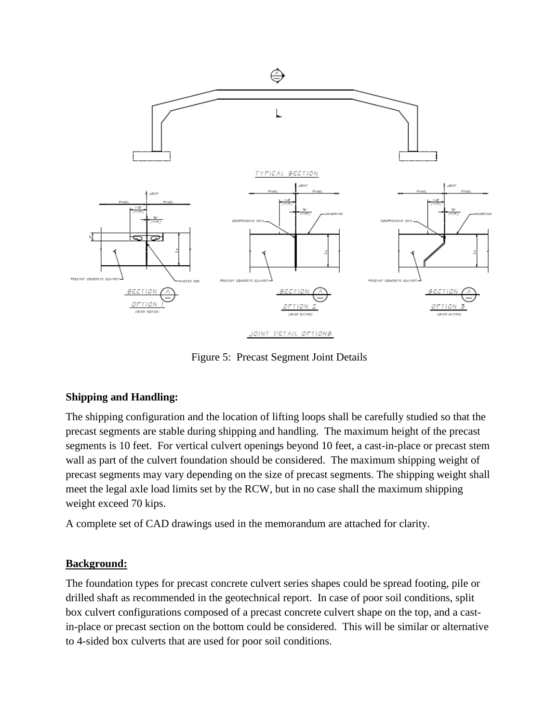

Figure 5: Precast Segment Joint Details

### **Shipping and Handling:**

The shipping configuration and the location of lifting loops shall be carefully studied so that the precast segments are stable during shipping and handling. The maximum height of the precast segments is 10 feet. For vertical culvert openings beyond 10 feet, a cast-in-place or precast stem wall as part of the culvert foundation should be considered. The maximum shipping weight of precast segments may vary depending on the size of precast segments. The shipping weight shall meet the legal axle load limits set by the RCW, but in no case shall the maximum shipping weight exceed 70 kips.

A complete set of CAD drawings used in the memorandum are attached for clarity.

#### **Background:**

The foundation types for precast concrete culvert series shapes could be spread footing, pile or drilled shaft as recommended in the geotechnical report. In case of poor soil conditions, split box culvert configurations composed of a precast concrete culvert shape on the top, and a castin-place or precast section on the bottom could be considered. This will be similar or alternative to 4-sided box culverts that are used for poor soil conditions.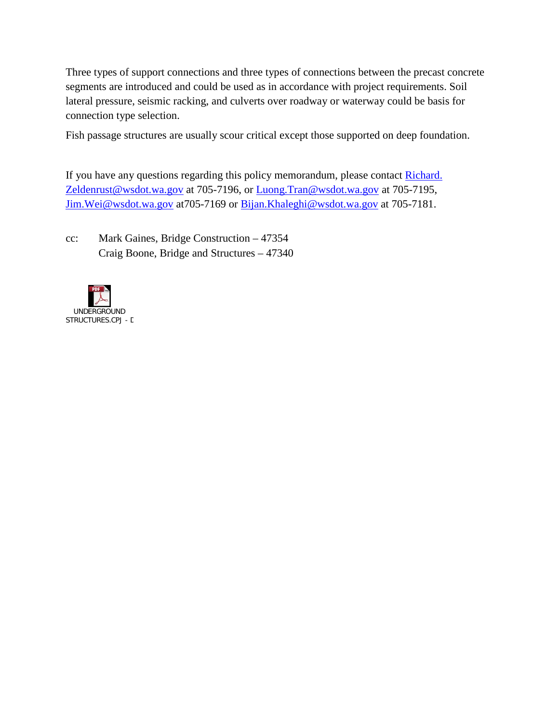Three types of support connections and three types of connections between the precast concrete segments are introduced and could be used as in accordance with project requirements. Soil lateral pressure, seismic racking, and culverts over roadway or waterway could be basis for connection type selection.

Fish passage structures are usually scour critical except those supported on deep foundation.

If you have any questions regarding this policy memorandum, please contact Richard. [Zeldenrust@wsdot.wa.gov](mailto:Richard.%20Zeldenrust@wsdot.wa.gov) at 705-7196, or [Luong.Tran@wsdot.wa.gov](mailto:Luong.Tran@wsdot.wa.gov) at 705-7195, Jim. Wei@wsdot.wa.gov at 705-7169 or Bijan. Khaleghi@wsdot.wa.gov at 705-7181.

cc: Mark Gaines, Bridge Construction – 47354 Craig Boone, Bridge and Structures – 47340

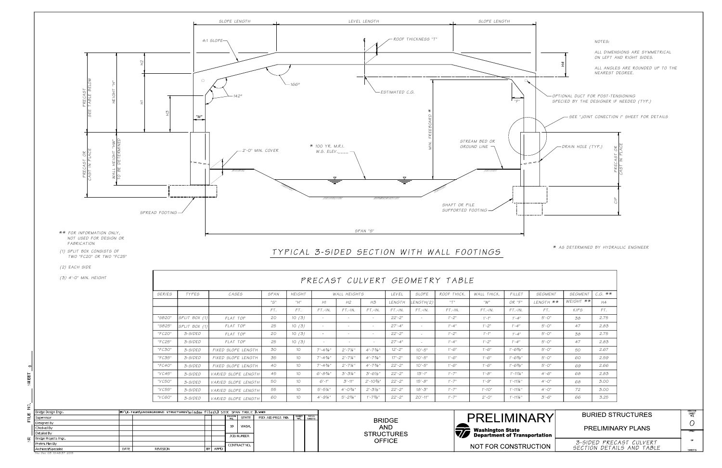| M:\X-Team\UNDERGROUND STRUCTURES\window files\3 SIDE SPAN TABLE 3.WND<br>Bridge Design Engr |      |          |  |             |                          |                   |                             |                                                                                      |               |                   |                                           |
|---------------------------------------------------------------------------------------------|------|----------|--|-------------|--------------------------|-------------------|-----------------------------|--------------------------------------------------------------------------------------|---------------|-------------------|-------------------------------------------|
| Supervisor                                                                                  |      |          |  |             | REGION  <br><b>STATE</b> | FED AID PROJ. NO  |                             | $\begin{array}{ c c c c }\n\hline\n\text{SHETS} & \text{SHEES}\n\hline\n\end{array}$ |               | <b>IMIN</b>       |                                           |
| Designed By                                                                                 |      |          |  |             |                          |                   | <b>BRIDGE</b><br><b>AND</b> |                                                                                      |               |                   |                                           |
| Checked By                                                                                  |      |          |  |             |                          | <b>WASH</b>       |                             |                                                                                      |               |                   | <b>Washington State</b>                   |
| Detailed By                                                                                 |      |          |  |             |                          | <b>JOB NUMBER</b> |                             |                                                                                      |               | <b>STRUCTURES</b> | $\sqrt{V}$<br><b>Department of Transp</b> |
| Bridge Projects Engr.                                                                       |      |          |  |             |                          |                   |                             |                                                                                      | <b>OFFICE</b> |                   |                                           |
| Prelim Plan By                                                                              |      |          |  |             |                          | CONTRACT NO.      |                             |                                                                                      |               |                   | NOT FOR CONSTRU                           |
| Architect/Specialist                                                                        | DATE | REVISION |  | <b>APPD</b> |                          |                   |                             |                                                                                      |               |                   |                                           |
| Thu Dec 03 10:48:37 2015                                                                    |      |          |  |             |                          |                   |                             |                                                                                      |               |                   |                                           |

| <b>SERIES</b> | <b>TYPES</b>  | <i>CASES</i>        | SPAN                                  | <b>HEIGHT</b>   |                      | <b>WALL HEIGHTS</b>  |                       | LEVEL      | SLOPE        | ROOF THICK. | WALL THICK. | FILLET              | <b>SEGMENT</b> | <b>SEGMENT</b> | $C.G.$ * |
|---------------|---------------|---------------------|---------------------------------------|-----------------|----------------------|----------------------|-----------------------|------------|--------------|-------------|-------------|---------------------|----------------|----------------|----------|
|               |               |                     | $^{\prime\prime}$ S $^{\prime\prime}$ | "H"             | H1                   | H2                   | H3                    | LENGTH     | ENGTH(2)     | "T"         | "W"         | $OR$ " $F$ "        | LENGTH **      | WEIGHT **      | H4       |
|               |               |                     | FT.                                   | FT.             | $FT.-IN.$            | $FT.-IN.$            | $FT.-IN.$             | $FT.-IN.$  | $FT.-IN.$    | $FT.-IN.$   | $FT.-IN.$   | $FT.-IN.$           | FT.            | KIPS           | FT.      |
| "SB20"        | SPLIT BOX (1) | FLAT TOP            | 20                                    | 10(3)           | $\sim$               | $\sim$               | $\sim$                | $22 - 2$ " | $\sim$       | $1' - 2''$  | $1' - 1''$  | $1' - 4''$          | $5 - 0$ "      | 38             | 2.75     |
| "SB25"        | SPLIT BOX (1) | FLAT TOP            | 25                                    | 10(3)           | $\sim$               | $\sim$               | $\sim$                | $27 - 4$ " | $\sim$       | $1' - 4''$  | $1 - 2^n$   | $1' - 4''$          | $5 - 0$ "      | 47             | 2.83     |
| "FC20"        | 3-SIDED       | FLAT TOP            | 20                                    | 10(3)           | ۰.                   | $\sim$               | $\sim$                | $22 - 2$ " | $\sim$       | $1' - 2''$  | $1' - 1''$  | $1' - 4''$          | $5 - 0$ "      | 38             | 2.75     |
| "FC25"        | 3-SIDED       | FLAT TOP            | 25                                    | 10(3)           | $\overline{a}$       | $\sim$               | $\sim$                | $27 - 4$ " | ÷            | $1' - 4''$  | $1 - 2n$    | $1' - 4''$          | $5 - 0$ "      | 47             | 2.83     |
| "FC30"        | 3-SIDED       | FIXED SLOPE LENGTH  | 30                                    | 10              | $7 - 43/4$ "         | $2'-7\frac{1}{4}$ "  | $4 - 73/4$ "          | $12 - 2n$  | $10 - 5$ "   | $1'-6''$    | $1'-6''$    | $1'-6\frac{3}{8}''$ | $5 - 0$ "      | 50             | 2.67     |
| "FC35"        | 3-SIDED       | FIXED SLOPE LENGTH  | 35                                    | 10              | $7 - 43/4$ "         | $2 - 7\frac{1}{4}$ " | $4' - 73/4''$         | $17 - 2n$  | $10 - 5$ "   | $1' - 6''$  | $1'-6''$    | $1 - 6\%$ "         | $5 - 0$ "      | 60             | 2.59     |
| "FC40"        | 3-SIDED       | FIXED SLOPE LENGTH  | 40                                    | 10 <sup>°</sup> | $7 - 43/4$ "         | $2 - 7\frac{1}{4}$ " | $4' - 73/4''$         | $22 - 2$ " | $10 - 5$ "   | $1'-6''$    | $1 - 6$ "   | $1 - 6\%$ "         | $5 - 0$ "      | 69             | 2.66     |
| "VCA5"        | 3-SIDED       | VARIED SLOPE LENGTH | 45                                    | 10 <sup>°</sup> | $6 - 8\frac{3}{4}$ " | $3 - 31/4$ "         | $3'-6\frac{1}{8}''$   | $22 - 2$ " | $13 - 1$ "   | $1' - 7''$  | $1 - 8$ "   | $1' - 11'4''$       | $4 - 6$ "      | 68             | 2.83     |
| "VC50"        | 3-SIDED       | VARIED SLOPE LENGTH | 50                                    | 10              | $6 - 1$ "            | $3'-11''$            | $2'-10\%$ "           | $22 - 2$ " | $15 - 8$ "   | $1' - 7''$  | $1 - 9$ "   | $1' - 11'4''$       | $4 - 0''$      | 68             | 3.0<     |
| $"V$ C55"     | 3-SIDED       | VARIED SLOPE LENGTH | 55                                    | 10 <sup>°</sup> | $5 - 5\frac{1}{4}$ " | $4 - 0.34$ "         | $2'-3\frac{1}{8}''$   | $22 - 2$ " | $18 - 3$ "   | $1' - 7''$  | $1' - 10''$ | $1' - 11'4''$       | $4'-0''$       | 72             | 3.0<     |
| "VCGO"        | 3-SIDED       | VARIED SLOPE LENGTH | 60                                    | 10              | $4 - 9\frac{1}{4}$   | $5 - 23/4$ "         | $1' - 7\frac{5}{8}''$ | $22 - 2$ " | $20' - 11''$ | $1' - 7''$  | $2'-0''$    | $1' - 11'4''$       | $3 - 6$ "      | 66             | 3.25     |

|                |                                                      |                |           | * AS DETERMINED BY HYDRAULIC ENGINEER |                      |  |  |  |  |  |  |
|----------------|------------------------------------------------------|----------------|-----------|---------------------------------------|----------------------|--|--|--|--|--|--|
|                |                                                      |                |           |                                       |                      |  |  |  |  |  |  |
| <b>SEGMENT</b> |                                                      | <b>SEGMENT</b> | $C.G.$ ** |                                       |                      |  |  |  |  |  |  |
| LENGTH **      |                                                      | WEIGHT **      | H4        |                                       |                      |  |  |  |  |  |  |
| FT.            |                                                      | <b>KIPS</b>    | FT.       |                                       |                      |  |  |  |  |  |  |
| $5 - 0$        |                                                      | 38             | 2.75      |                                       |                      |  |  |  |  |  |  |
| $5 - 0$ "      |                                                      | 47             | 2.83      |                                       |                      |  |  |  |  |  |  |
| $5 - 0$ "      |                                                      | 38             | 2.75      |                                       |                      |  |  |  |  |  |  |
| $5 - 0$ "      |                                                      | 47             | 2.83      |                                       |                      |  |  |  |  |  |  |
| $5 - 0$ "      |                                                      | 50             | 2.67      |                                       |                      |  |  |  |  |  |  |
| $5 - 0$ "      |                                                      | 60             | 2.59      |                                       |                      |  |  |  |  |  |  |
| $5 - 0$ "      |                                                      | 69             | 2.66      |                                       |                      |  |  |  |  |  |  |
| $4 - 6$ "      |                                                      | 68             | 2.83      |                                       |                      |  |  |  |  |  |  |
| $4 - 0''$      |                                                      | 68             | 3.00      |                                       |                      |  |  |  |  |  |  |
| $4'-0''$       |                                                      | 72             | 3.00      |                                       |                      |  |  |  |  |  |  |
| $3 - 6"$       |                                                      | 66             | 3.25      |                                       |                      |  |  |  |  |  |  |
|                |                                                      |                |           |                                       |                      |  |  |  |  |  |  |
| ARY            |                                                      |                |           | <b>BURIED STRUCTURES</b>              | BRDGE<br>SHET<br>NO. |  |  |  |  |  |  |
|                |                                                      |                |           |                                       | ( )                  |  |  |  |  |  |  |
|                |                                                      |                |           | PRELIMINARY PLANS                     | अस                   |  |  |  |  |  |  |
|                | ortation                                             |                |           |                                       |                      |  |  |  |  |  |  |
| <b>CTION</b>   | 3-SIDED PRECAST CULVERT<br>SECTION DETAILS AND TABLE |                |           |                                       |                      |  |  |  |  |  |  |
|                |                                                      |                |           |                                       | <b>SHEETS</b>        |  |  |  |  |  |  |

*(1) SPLIT BOX CONSISTS OF TWO "FC20" OR TWO "FC25"*

*(2) EACH SIDE*

贡

*(3) 4'-0" MIN. HEIGHT*

# TYPICAL 3-SIDED SECTION WITH WALL FOOTINGS

## PRECAST CULVERT GEOMETRY TABLE

  *NOT USED FOR DESIGN OR FABRICATION*

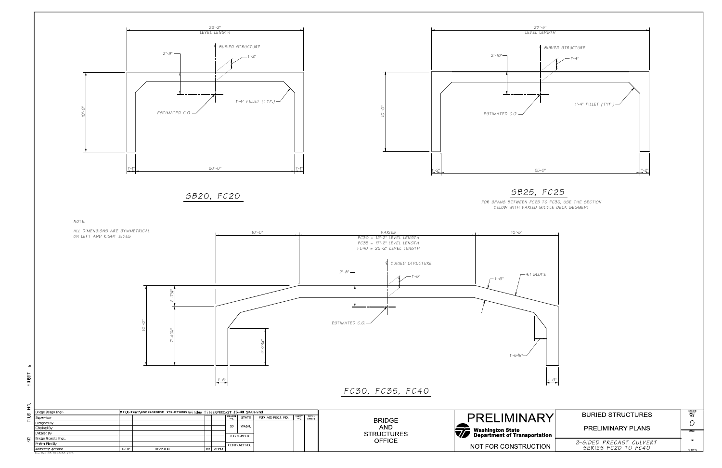

赱

2

FILE<sub></sub>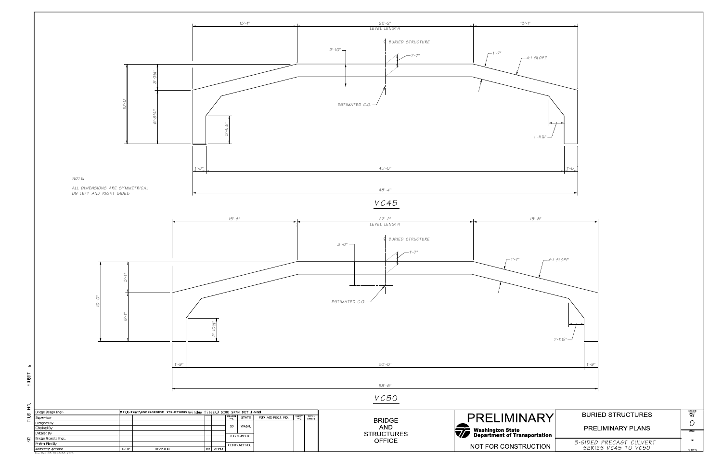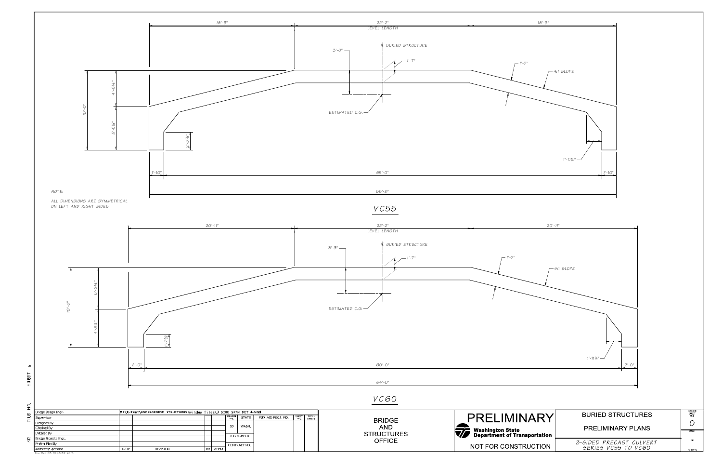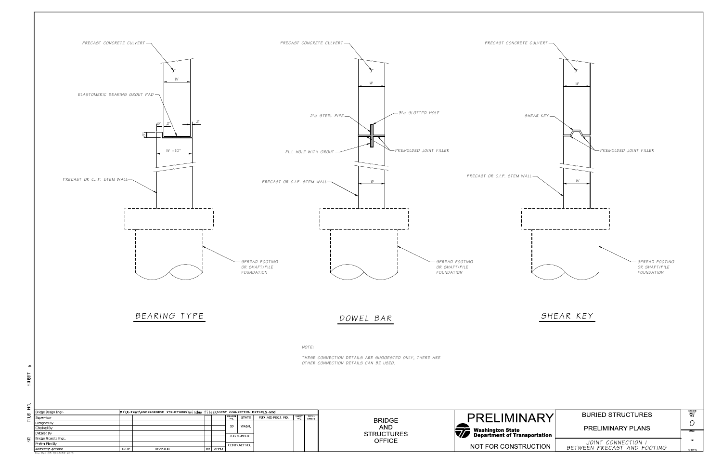